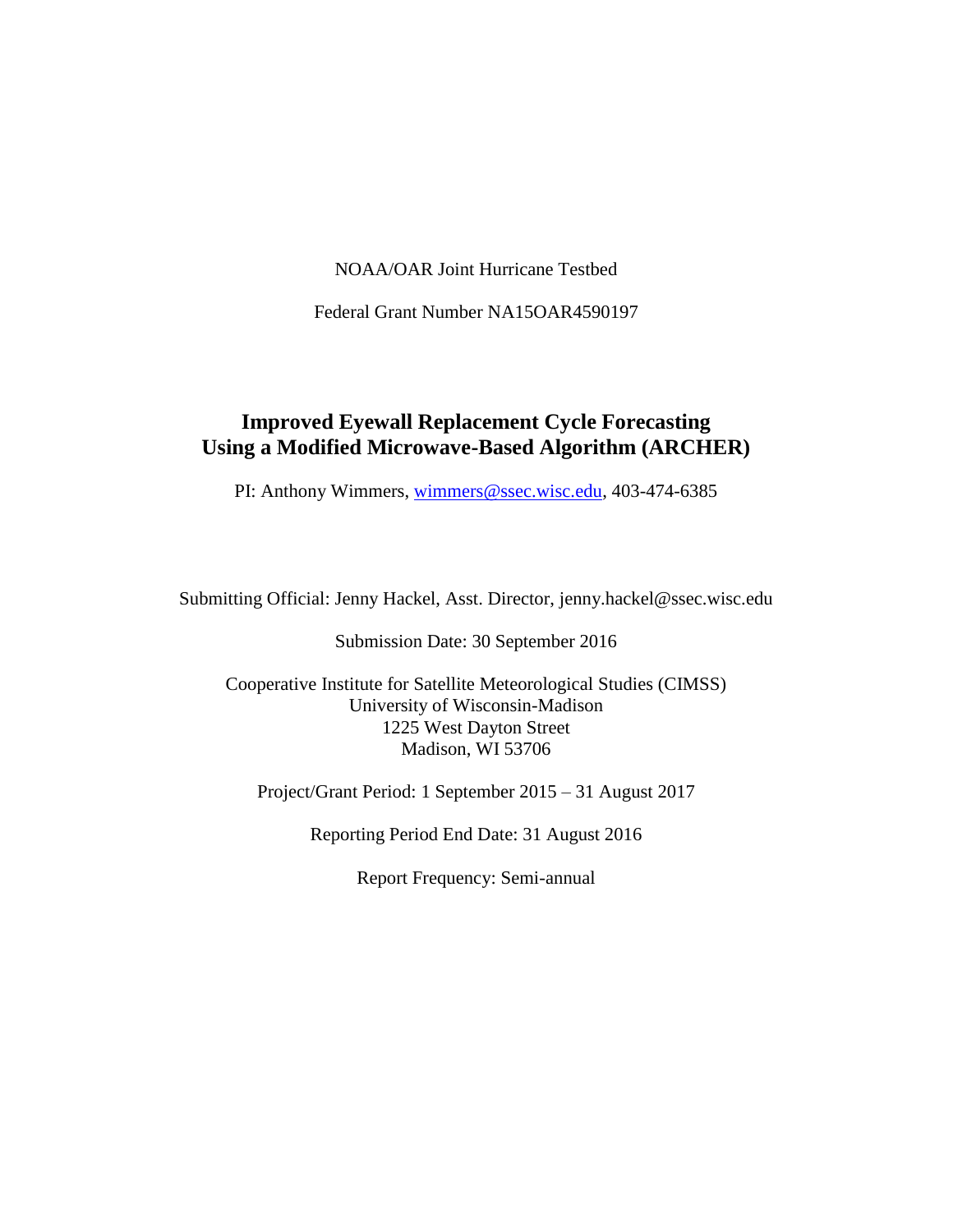NOAA/OAR Joint Hurricane Testbed

Federal Grant Number NA15OAR4590197

#### **Improved Eyewall Replacement Cycle Forecasting Using a Modified Microwave-Based Algorithm (ARCHER)**

PI: Anthony Wimmers, [wimmers@ssec.wisc.edu,](mailto:wimmers@ssec.wisc.edu) 403-474-6385

Submitting Official: Jenny Hackel, Asst. Director, jenny.hackel@ssec.wisc.edu

Submission Date: 30 September 2016

Cooperative Institute for Satellite Meteorological Studies (CIMSS) University of Wisconsin-Madison 1225 West Dayton Street Madison, WI 53706

Project/Grant Period: 1 September 2015 – 31 August 2017

Reporting Period End Date: 31 August 2016

Report Frequency: Semi-annual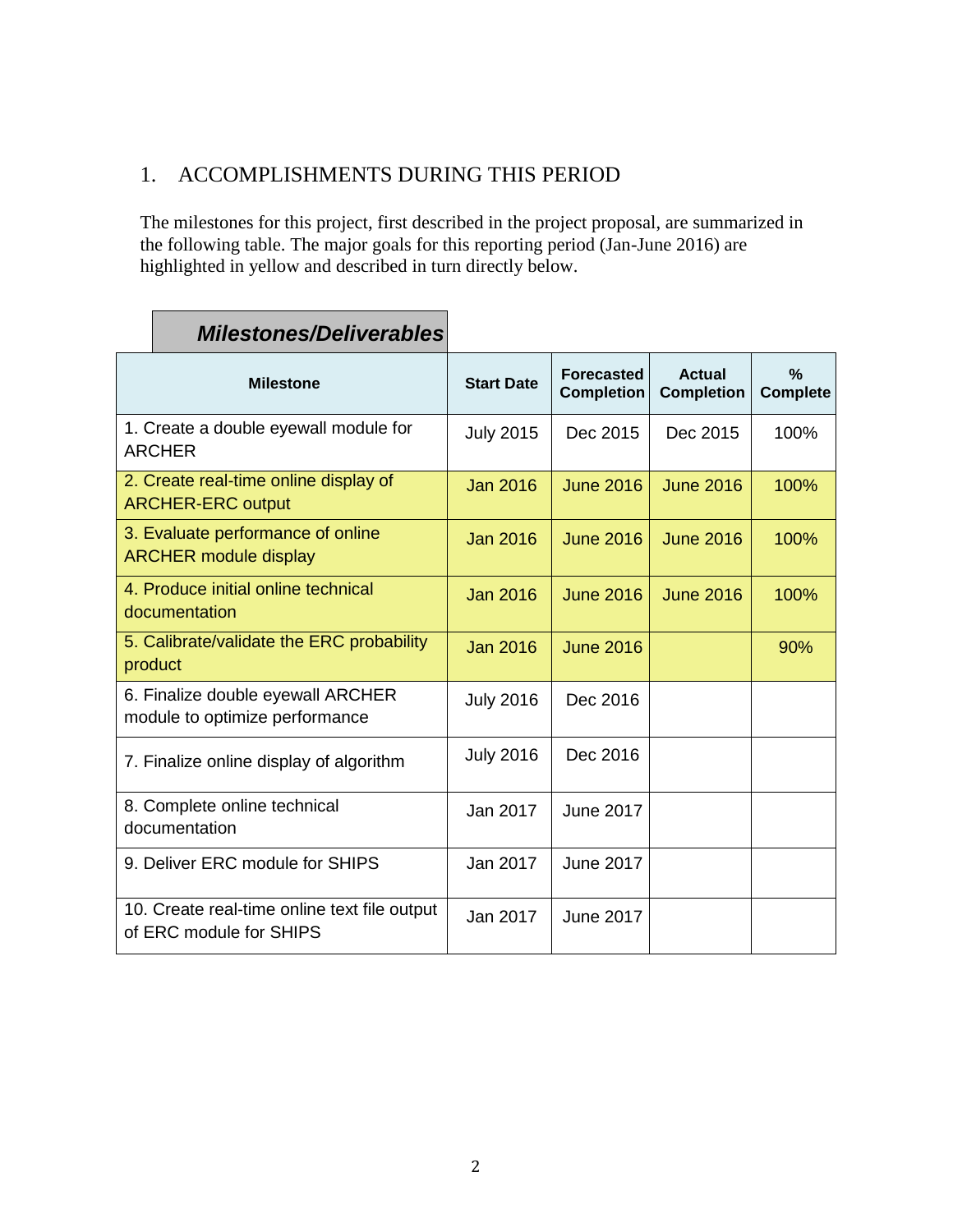## 1. ACCOMPLISHMENTS DURING THIS PERIOD

The milestones for this project, first described in the project proposal, are summarized in the following table. The major goals for this reporting period (Jan-June 2016) are highlighted in yellow and described in turn directly below.

| <b>Milestone</b>                                                        | <b>Start Date</b> | <b>Forecasted</b><br><b>Completion</b> | <b>Actual</b><br><b>Completion</b> | $\frac{0}{2}$<br><b>Complete</b> |
|-------------------------------------------------------------------------|-------------------|----------------------------------------|------------------------------------|----------------------------------|
| 1. Create a double eyewall module for<br>ARCHER                         | <b>July 2015</b>  | Dec 2015                               | Dec 2015                           | 100%                             |
| 2. Create real-time online display of<br><b>ARCHER-ERC output</b>       | <b>Jan 2016</b>   | <b>June 2016</b>                       | <b>June 2016</b>                   | 100%                             |
| 3. Evaluate performance of online<br><b>ARCHER module display</b>       | <b>Jan 2016</b>   | <b>June 2016</b>                       | <b>June 2016</b>                   | 100%                             |
| 4. Produce initial online technical<br>documentation                    | <b>Jan 2016</b>   | <b>June 2016</b>                       | <b>June 2016</b>                   | 100%                             |
| 5. Calibrate/validate the ERC probability<br>product                    | <b>Jan 2016</b>   | <b>June 2016</b>                       |                                    | 90%                              |
| 6. Finalize double eyewall ARCHER<br>module to optimize performance     | <b>July 2016</b>  | Dec 2016                               |                                    |                                  |
| 7. Finalize online display of algorithm                                 | <b>July 2016</b>  | Dec 2016                               |                                    |                                  |
| 8. Complete online technical<br>documentation                           | Jan 2017          | <b>June 2017</b>                       |                                    |                                  |
| 9. Deliver ERC module for SHIPS                                         | Jan 2017          | <b>June 2017</b>                       |                                    |                                  |
| 10. Create real-time online text file output<br>of ERC module for SHIPS | Jan 2017          | <b>June 2017</b>                       |                                    |                                  |

# *Milestones/Deliverables*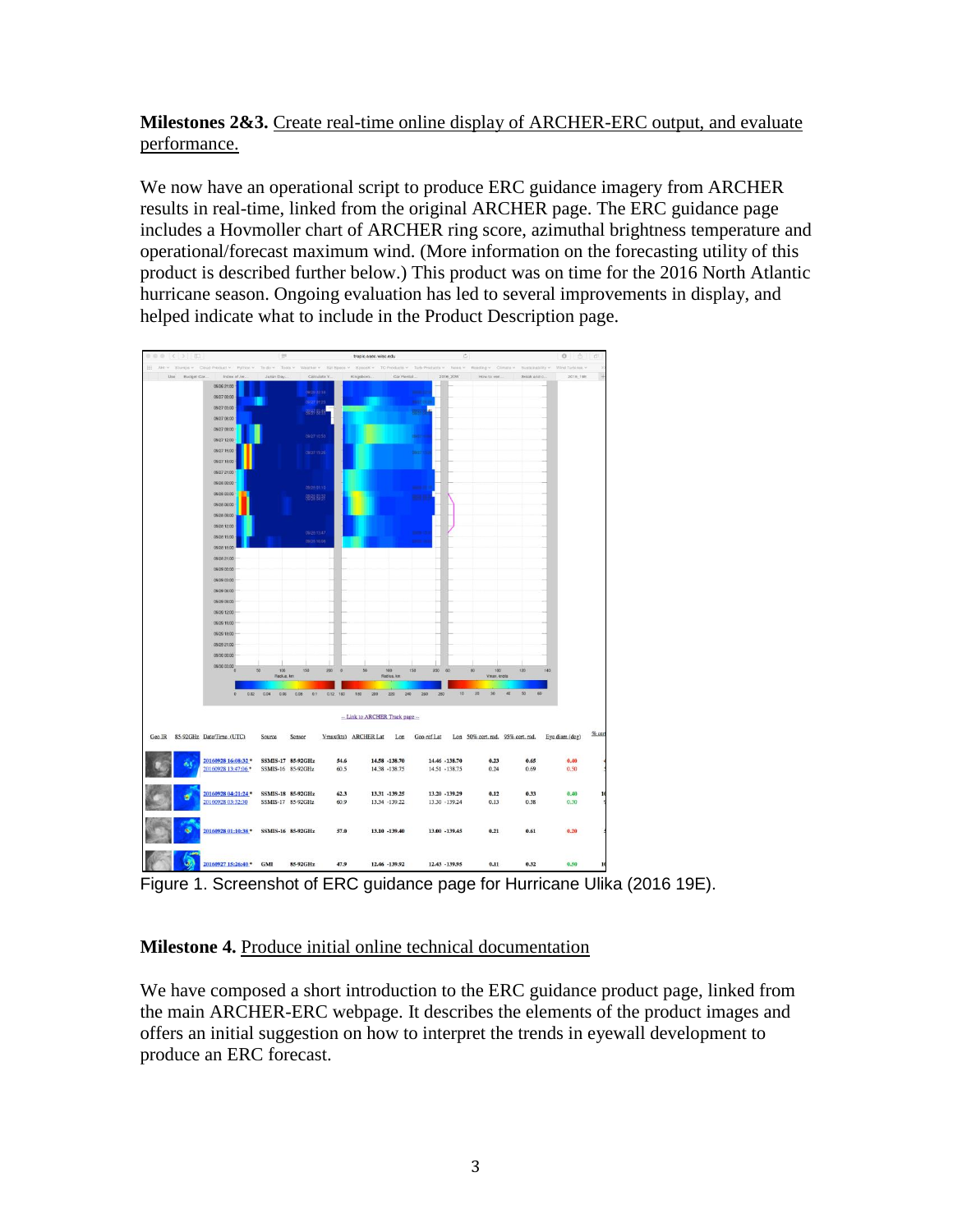**Milestones 2&3.** Create real-time online display of ARCHER-ERC output, and evaluate performance.

We now have an operational script to produce ERC guidance imagery from ARCHER results in real-time, linked from the original ARCHER page. The ERC guidance page includes a Hovmoller chart of ARCHER ring score, azimuthal brightness temperature and operational/forecast maximum wind. (More information on the forecasting utility of this product is described further below.) This product was on time for the 2016 North Atlantic hurricane season. Ongoing evaluation has led to several improvements in display, and helped indicate what to include in the Product Description page.



Figure 1. Screenshot of ERC guidance page for Hurricane Ulika (2016 19E).

#### **Milestone 4.** Produce initial online technical documentation

We have composed a short introduction to the ERC guidance product page, linked from the main ARCHER-ERC webpage. It describes the elements of the product images and offers an initial suggestion on how to interpret the trends in eyewall development to produce an ERC forecast.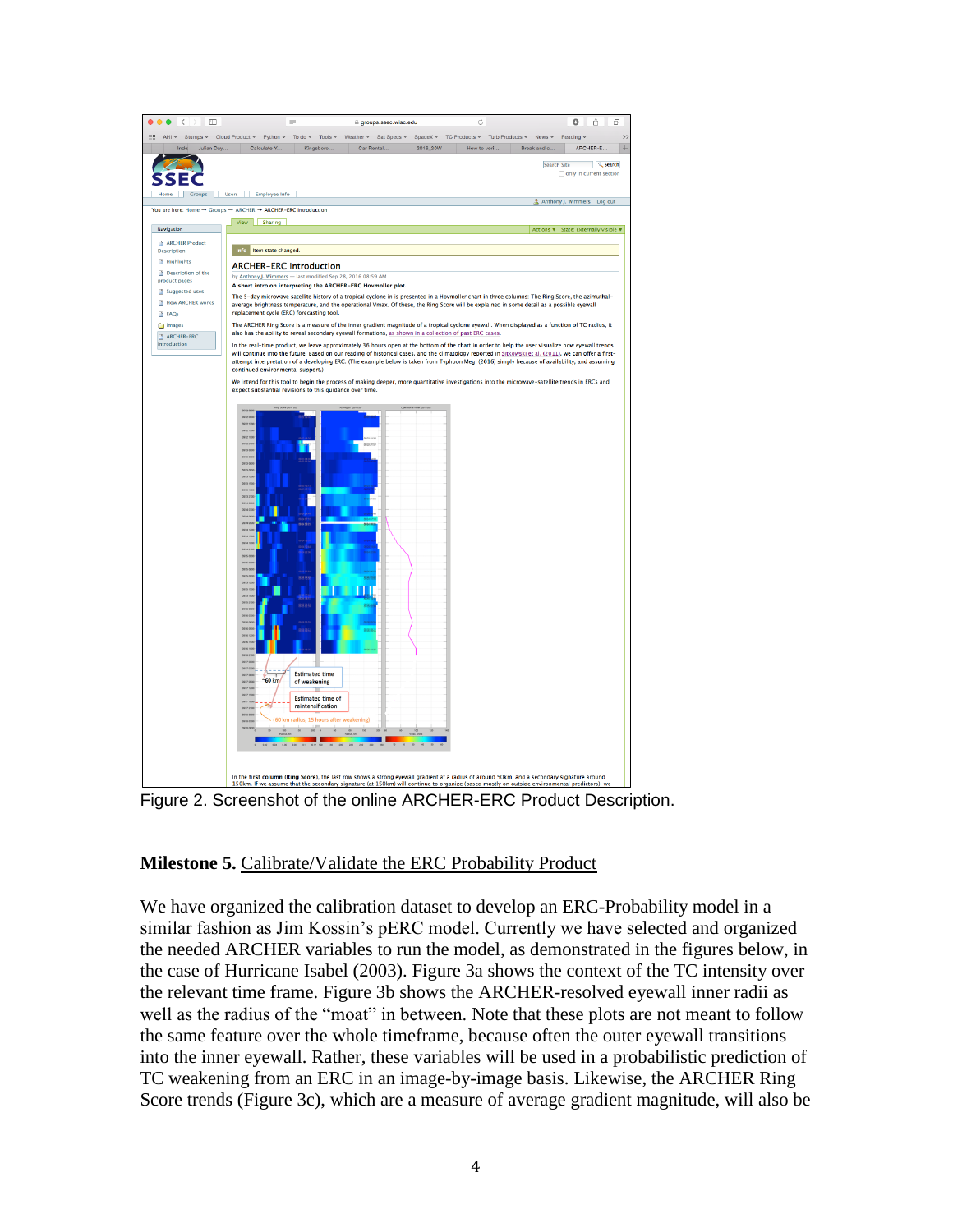

Figure 2. Screenshot of the online ARCHER-ERC Product Description.

#### **Milestone 5.** Calibrate/Validate the ERC Probability Product

We have organized the calibration dataset to develop an ERC-Probability model in a similar fashion as Jim Kossin's pERC model. Currently we have selected and organized the needed ARCHER variables to run the model, as demonstrated in the figures below, in the case of Hurricane Isabel (2003). Figure 3a shows the context of the TC intensity over the relevant time frame. Figure 3b shows the ARCHER-resolved eyewall inner radii as well as the radius of the "moat" in between. Note that these plots are not meant to follow the same feature over the whole timeframe, because often the outer eyewall transitions into the inner eyewall. Rather, these variables will be used in a probabilistic prediction of TC weakening from an ERC in an image-by-image basis. Likewise, the ARCHER Ring Score trends (Figure 3c), which are a measure of average gradient magnitude, will also be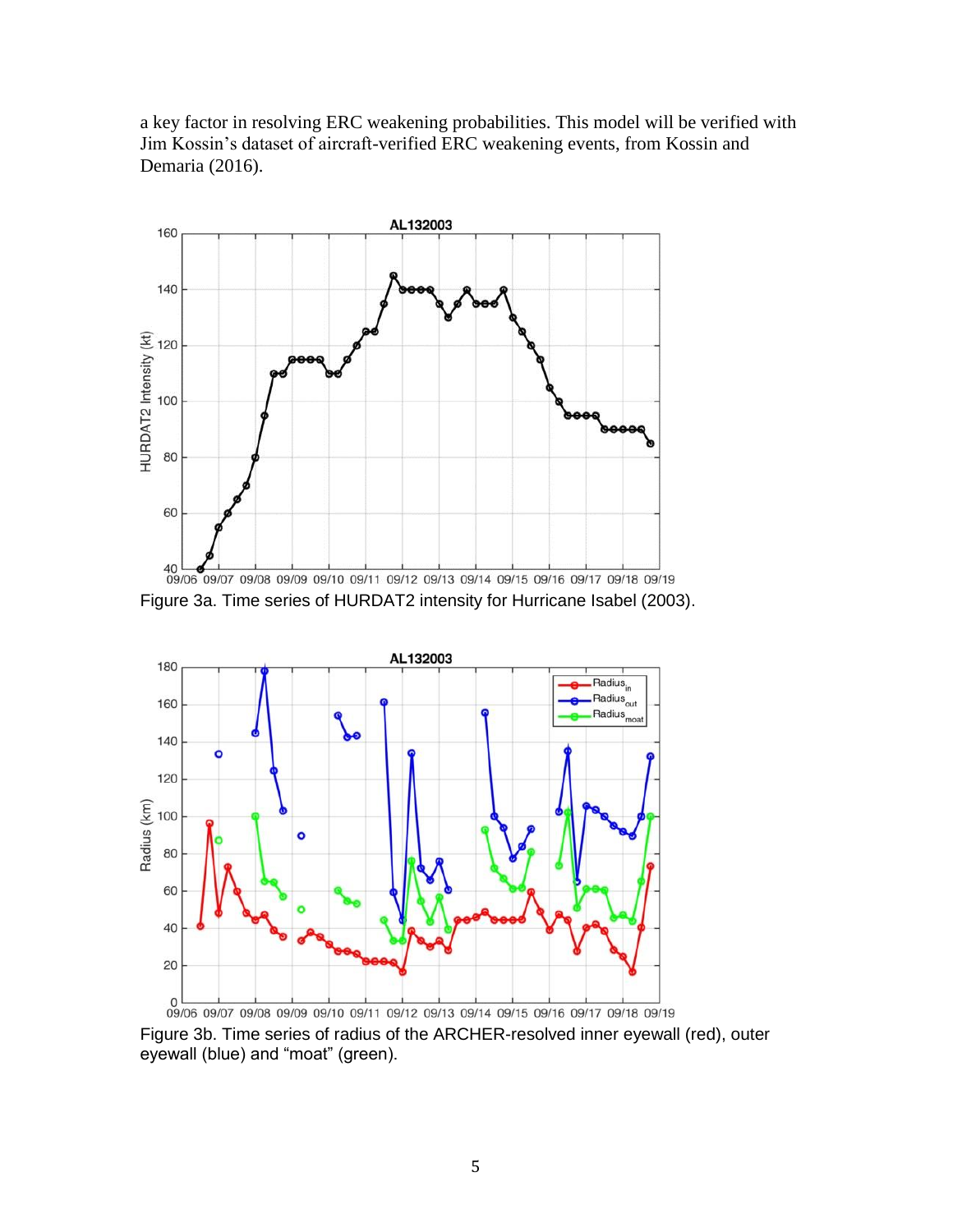a key factor in resolving ERC weakening probabilities. This model will be verified with Jim Kossin's dataset of aircraft-verified ERC weakening events, from Kossin and Demaria (2016).



Figure 3a. Time series of HURDAT2 intensity for Hurricane Isabel (2003).



Figure 3b. Time series of radius of the ARCHER-resolved inner eyewall (red), outer eyewall (blue) and "moat" (green).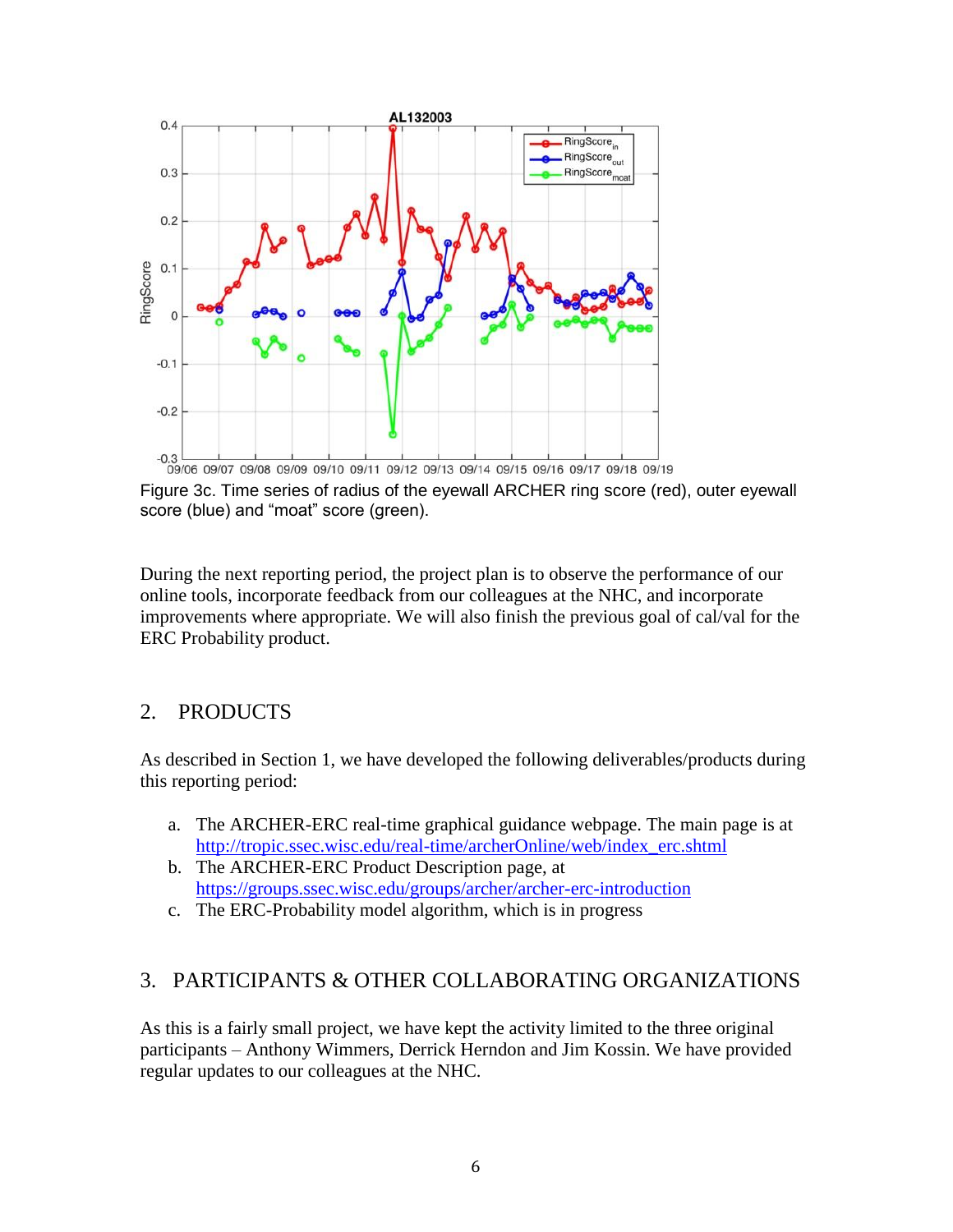

 $\frac{1}{109/06}$  09/06 09/07 09/08 09/09 09/10 09/11 09/12 09/13 09/14 09/15 09/16 09/17 09/18 09/19<br>Figure 3c. Time series of radius of the eyewall ARCHER ring score (red), outer eyewall score (blue) and "moat" score (green).

During the next reporting period, the project plan is to observe the performance of our online tools, incorporate feedback from our colleagues at the NHC, and incorporate improvements where appropriate. We will also finish the previous goal of cal/val for the ERC Probability product.

## 2. PRODUCTS

As described in Section 1, we have developed the following deliverables/products during this reporting period:

- a. The ARCHER-ERC real-time graphical guidance webpage. The main page is at [http://tropic.ssec.wisc.edu/real-time/archerOnline/web/index\\_erc.shtml](http://tropic.ssec.wisc.edu/real-time/archerOnline/web/index_erc.shtml)
- b. The ARCHER-ERC Product Description page, at <https://groups.ssec.wisc.edu/groups/archer/archer-erc-introduction>
- c. The ERC-Probability model algorithm, which is in progress

#### 3. PARTICIPANTS & OTHER COLLABORATING ORGANIZATIONS

As this is a fairly small project, we have kept the activity limited to the three original participants – Anthony Wimmers, Derrick Herndon and Jim Kossin. We have provided regular updates to our colleagues at the NHC.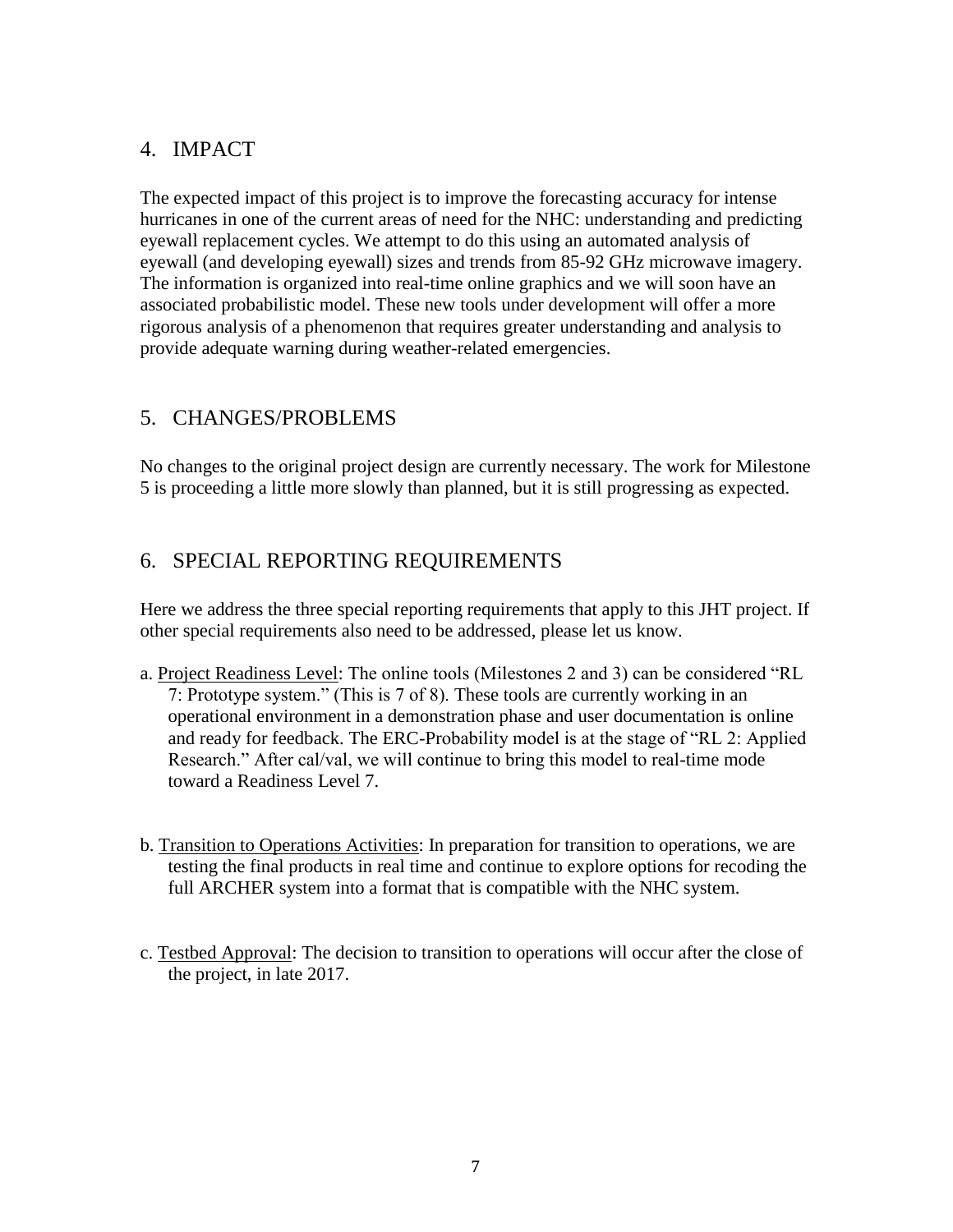#### 4. IMPACT

The expected impact of this project is to improve the forecasting accuracy for intense hurricanes in one of the current areas of need for the NHC: understanding and predicting eyewall replacement cycles. We attempt to do this using an automated analysis of eyewall (and developing eyewall) sizes and trends from 85-92 GHz microwave imagery. The information is organized into real-time online graphics and we will soon have an associated probabilistic model. These new tools under development will offer a more rigorous analysis of a phenomenon that requires greater understanding and analysis to provide adequate warning during weather-related emergencies.

## 5. CHANGES/PROBLEMS

No changes to the original project design are currently necessary. The work for Milestone 5 is proceeding a little more slowly than planned, but it is still progressing as expected.

#### 6. SPECIAL REPORTING REQUIREMENTS

Here we address the three special reporting requirements that apply to this JHT project. If other special requirements also need to be addressed, please let us know.

- a. Project Readiness Level: The online tools (Milestones 2 and 3) can be considered "RL 7: Prototype system." (This is 7 of 8). These tools are currently working in an operational environment in a demonstration phase and user documentation is online and ready for feedback. The ERC-Probability model is at the stage of "RL 2: Applied Research." After cal/val, we will continue to bring this model to real-time mode toward a Readiness Level 7.
- b. Transition to Operations Activities: In preparation for transition to operations, we are testing the final products in real time and continue to explore options for recoding the full ARCHER system into a format that is compatible with the NHC system.
- c. Testbed Approval: The decision to transition to operations will occur after the close of the project, in late 2017.